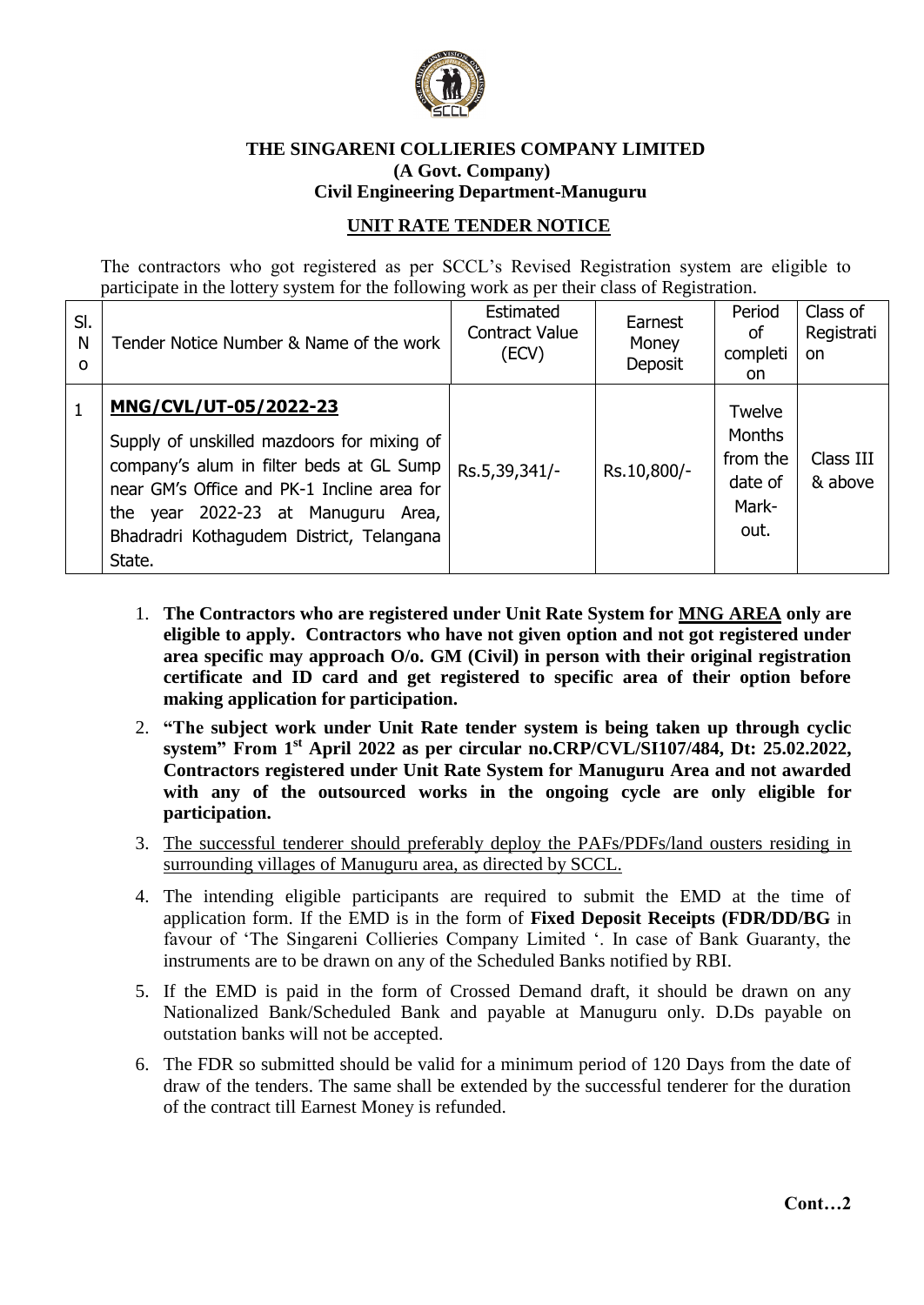

## **THE SINGARENI COLLIERIES COMPANY LIMITED (A Govt. Company) Civil Engineering Department-Manuguru**

## **UNIT RATE TENDER NOTICE**

The contractors who got registered as per SCCL's Revised Registration system are eligible to participate in the lottery system for the following work as per their class of Registration.

| SI.<br>N<br>O | Tender Notice Number & Name of the work                                                                                                                                                                                                                      | Estimated<br><b>Contract Value</b><br>(ECV) | Earnest<br>Money<br>Deposit | Period<br>οf<br>completi<br>on.                                 | Class of<br>Registrati<br><b>on</b> |
|---------------|--------------------------------------------------------------------------------------------------------------------------------------------------------------------------------------------------------------------------------------------------------------|---------------------------------------------|-----------------------------|-----------------------------------------------------------------|-------------------------------------|
|               | MNG/CVL/UT-05/2022-23<br>Supply of unskilled mazdoors for mixing of<br>company's alum in filter beds at GL Sump<br>near GM's Office and PK-1 Incline area for<br>the year 2022-23 at Manuguru<br>Area,<br>Bhadradri Kothagudem District, Telangana<br>State. | Rs.5,39,341/-                               | Rs.10,800/-                 | Twelve<br><b>Months</b><br>from the<br>date of<br>Mark-<br>out. | Class III<br>& above                |

- 1. **The Contractors who are registered under Unit Rate System for MNG AREA only are eligible to apply. Contractors who have not given option and not got registered under area specific may approach O/o. GM (Civil) in person with their original registration certificate and ID card and get registered to specific area of their option before making application for participation.**
- 2. **"The subject work under Unit Rate tender system is being taken up through cyclic system" From 1 st April 2022 as per circular no.CRP/CVL/SI107/484, Dt: 25.02.2022, Contractors registered under Unit Rate System for Manuguru Area and not awarded with any of the outsourced works in the ongoing cycle are only eligible for participation.**
- 3. The successful tenderer should preferably deploy the PAFs/PDFs/land ousters residing in surrounding villages of Manuguru area, as directed by SCCL.
- 4. The intending eligible participants are required to submit the EMD at the time of application form. If the EMD is in the form of **Fixed Deposit Receipts (FDR/DD/BG** in favour of 'The Singareni Collieries Company Limited '. In case of Bank Guaranty, the instruments are to be drawn on any of the Scheduled Banks notified by RBI.
- 5. If the EMD is paid in the form of Crossed Demand draft, it should be drawn on any Nationalized Bank/Scheduled Bank and payable at Manuguru only. D.Ds payable on outstation banks will not be accepted.
- 6. The FDR so submitted should be valid for a minimum period of 120 Days from the date of draw of the tenders. The same shall be extended by the successful tenderer for the duration of the contract till Earnest Money is refunded.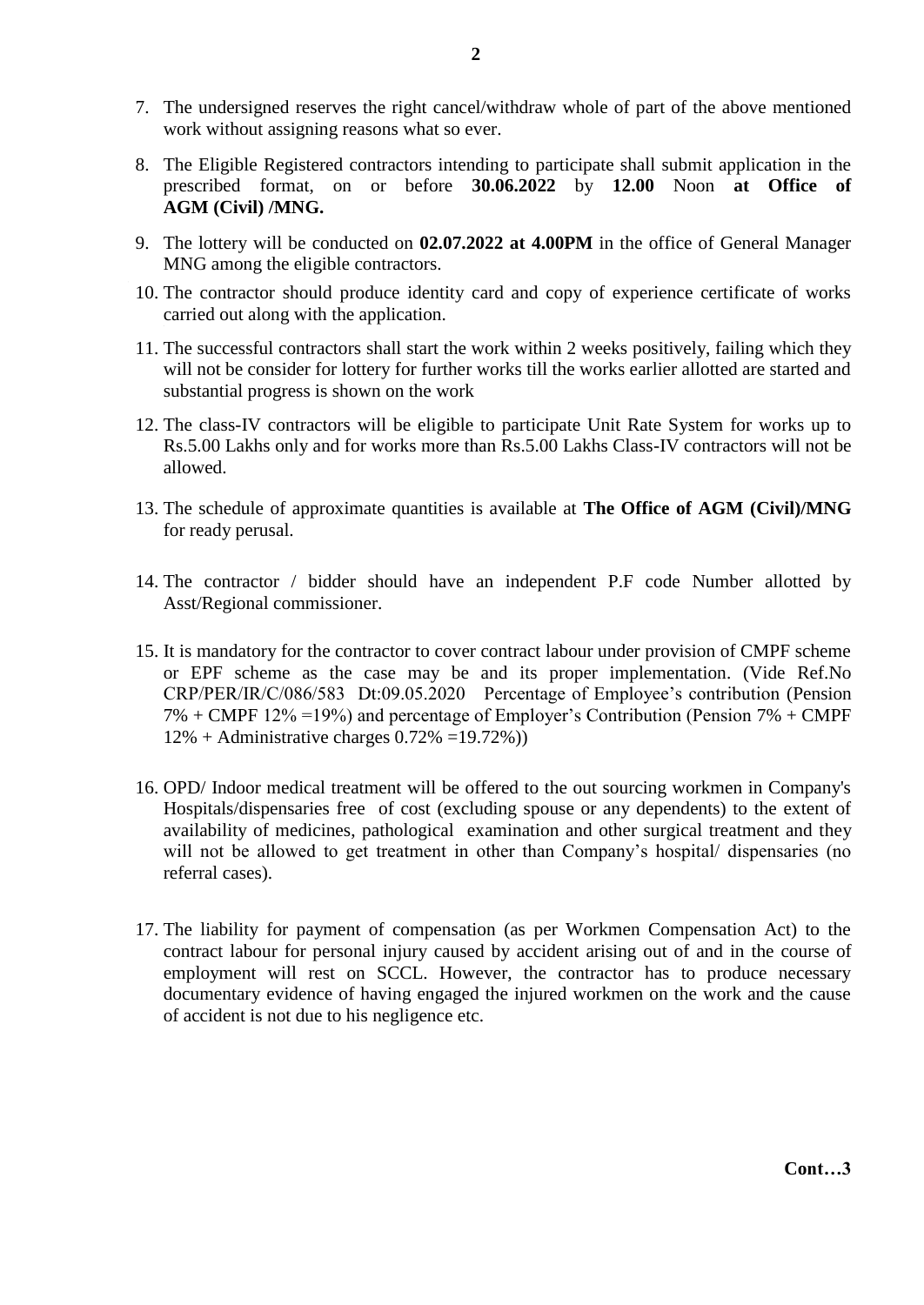- 7. The undersigned reserves the right cancel/withdraw whole of part of the above mentioned work without assigning reasons what so ever.
- 8. The Eligible Registered contractors intending to participate shall submit application in the prescribed format, on or before **30.06.2022** by **12.00** Noon **at Office of AGM (Civil) /MNG.**
- 9. The lottery will be conducted on **02.07.2022 at 4.00PM** in the office of General Manager MNG among the eligible contractors.
- 10. The contractor should produce identity card and copy of experience certificate of works carried out along with the application.
- 11. The successful contractors shall start the work within 2 weeks positively, failing which they will not be consider for lottery for further works till the works earlier allotted are started and substantial progress is shown on the work
- 12. The class-IV contractors will be eligible to participate Unit Rate System for works up to Rs.5.00 Lakhs only and for works more than Rs.5.00 Lakhs Class-IV contractors will not be allowed.
- 13. The schedule of approximate quantities is available at **The Office of AGM (Civil)/MNG** for ready perusal.
- 14. The contractor / bidder should have an independent P.F code Number allotted by Asst/Regional commissioner.
- 15. It is mandatory for the contractor to cover contract labour under provision of CMPF scheme or EPF scheme as the case may be and its proper implementation. (Vide Ref.No CRP/PER/IR/C/086/583 Dt:09.05.2020 Percentage of Employee's contribution (Pension 7% + CMPF 12% =19%) and percentage of Employer's Contribution (Pension 7% + CMPF  $12\% +$  Administrative charges  $0.72\% = 19.72\%)$
- 16. OPD/ Indoor medical treatment will be offered to the out sourcing workmen in Company's Hospitals/dispensaries free of cost (excluding spouse or any dependents) to the extent of availability of medicines, pathological examination and other surgical treatment and they will not be allowed to get treatment in other than Company's hospital/ dispensaries (no referral cases).
- 17. The liability for payment of compensation (as per Workmen Compensation Act) to the contract labour for personal injury caused by accident arising out of and in the course of employment will rest on SCCL. However, the contractor has to produce necessary documentary evidence of having engaged the injured workmen on the work and the cause of accident is not due to his negligence etc.